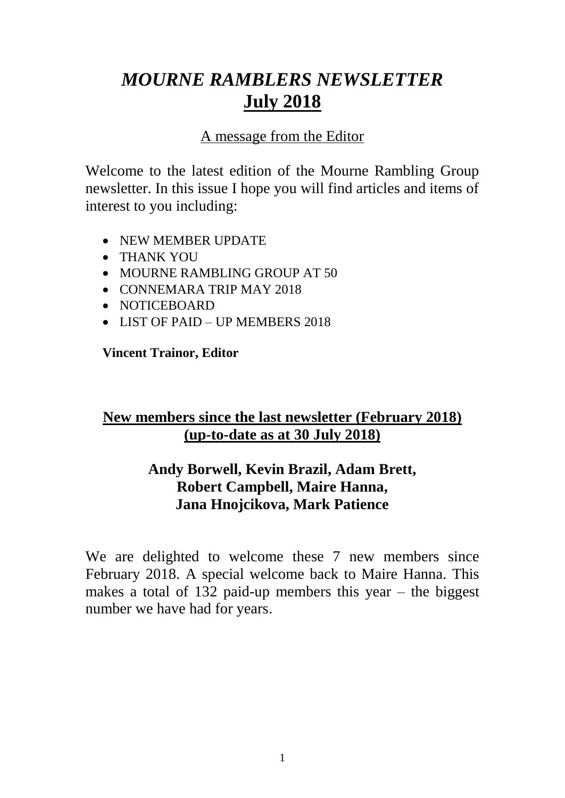# *MOURNE RAMBLERS NEWSLETTER* **July 2018**

# A message from the Editor

Welcome to the latest edition of the Mourne Rambling Group newsletter. In this issue I hope you will find articles and items of interest to you including:

- NEW MEMBER UPDATE
- THANK YOU
- MOURNE RAMBLING GROUP AT 50
- CONNEMARA TRIP MAY 2018
- NOTICEBOARD
- LIST OF PAID UP MEMBERS 2018

### **Vincent Trainor, Editor**

# **New members since the last newsletter (February 2018) (up-to-date as at 30 July 2018)**

# **Andy Borwell, Kevin Brazil, Adam Brett, Robert Campbell, Maire Hanna, Jana Hnojcikova, Mark Patience**

We are delighted to welcome these 7 new members since February 2018. A special welcome back to Maire Hanna. This makes a total of 132 paid-up members this year – the biggest number we have had for years.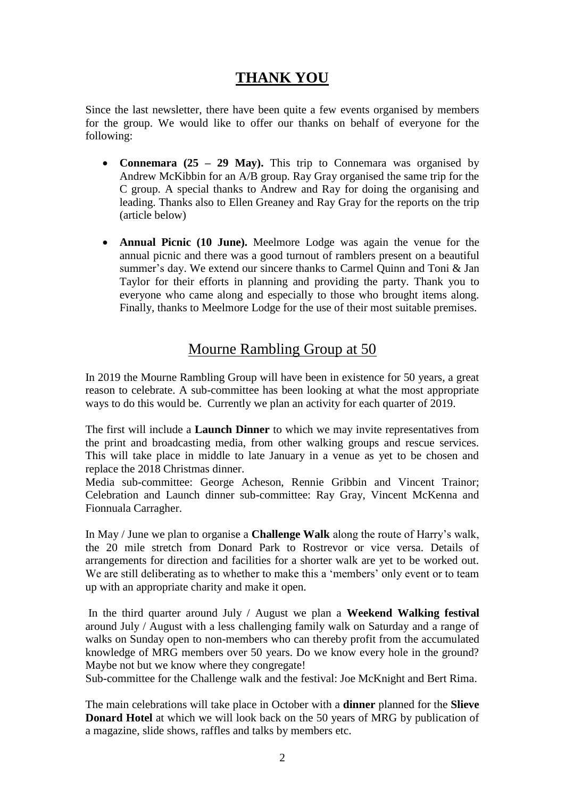# **THANK YOU**

Since the last newsletter, there have been quite a few events organised by members for the group. We would like to offer our thanks on behalf of everyone for the following:

- **Connemara (25 – 29 May).** This trip to Connemara was organised by Andrew McKibbin for an A/B group. Ray Gray organised the same trip for the C group. A special thanks to Andrew and Ray for doing the organising and leading. Thanks also to Ellen Greaney and Ray Gray for the reports on the trip (article below)
- **Annual Picnic (10 June).** Meelmore Lodge was again the venue for the annual picnic and there was a good turnout of ramblers present on a beautiful summer's day. We extend our sincere thanks to Carmel Quinn and Toni & Jan Taylor for their efforts in planning and providing the party. Thank you to everyone who came along and especially to those who brought items along. Finally, thanks to Meelmore Lodge for the use of their most suitable premises.

# Mourne Rambling Group at 50

In 2019 the Mourne Rambling Group will have been in existence for 50 years, a great reason to celebrate. A sub-committee has been looking at what the most appropriate ways to do this would be. Currently we plan an activity for each quarter of 2019.

The first will include a **Launch Dinner** to which we may invite representatives from the print and broadcasting media, from other walking groups and rescue services. This will take place in middle to late January in a venue as yet to be chosen and replace the 2018 Christmas dinner.

Media sub-committee: George Acheson, Rennie Gribbin and Vincent Trainor; Celebration and Launch dinner sub-committee: Ray Gray, Vincent McKenna and Fionnuala Carragher.

In May / June we plan to organise a **Challenge Walk** along the route of Harry's walk, the 20 mile stretch from Donard Park to Rostrevor or vice versa. Details of arrangements for direction and facilities for a shorter walk are yet to be worked out. We are still deliberating as to whether to make this a 'members' only event or to team up with an appropriate charity and make it open.

In the third quarter around July / August we plan a **Weekend Walking festival** around July / August with a less challenging family walk on Saturday and a range of walks on Sunday open to non-members who can thereby profit from the accumulated knowledge of MRG members over 50 years. Do we know every hole in the ground? Maybe not but we know where they congregate!

Sub-committee for the Challenge walk and the festival: Joe McKnight and Bert Rima.

The main celebrations will take place in October with a **dinner** planned for the **Slieve Donard Hotel** at which we will look back on the 50 years of MRG by publication of a magazine, slide shows, raffles and talks by members etc.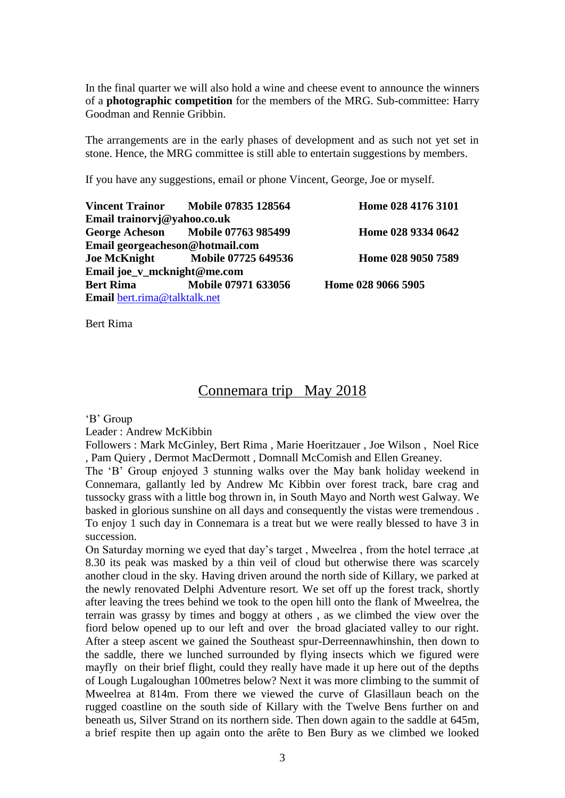In the final quarter we will also hold a wine and cheese event to announce the winners of a **photographic competition** for the members of the MRG. Sub-committee: Harry Goodman and Rennie Gribbin.

The arrangements are in the early phases of development and as such not yet set in stone. Hence, the MRG committee is still able to entertain suggestions by members.

If you have any suggestions, email or phone Vincent, George, Joe or myself.

|                                 | Vincent Trainor Mobile 07835 128564  | Home 028 4176 3101 |
|---------------------------------|--------------------------------------|--------------------|
| Email trainorvj@yahoo.co.uk     |                                      |                    |
|                                 | George Acheson Mobile 07763 985499   | Home 028 9334 0642 |
| Email georgeacheson@hotmail.com |                                      |                    |
|                                 | Joe McKnight Mobile 07725 649536     | Home 028 9050 7589 |
| Email joe_v_mcknight@me.com     |                                      |                    |
|                                 | <b>Bert Rima</b> Mobile 07971 633056 | Home 028 9066 5905 |
| Email bert.rima@talktalk.net    |                                      |                    |

Bert Rima

## Connemara trip May 2018

'B' Group

Leader : Andrew McKibbin

Followers : Mark McGinley, Bert Rima , Marie Hoeritzauer , Joe Wilson , Noel Rice , Pam Quiery , Dermot MacDermott , Domnall McComish and Ellen Greaney.

The 'B' Group enjoyed 3 stunning walks over the May bank holiday weekend in Connemara, gallantly led by Andrew Mc Kibbin over forest track, bare crag and tussocky grass with a little bog thrown in, in South Mayo and North west Galway. We basked in glorious sunshine on all days and consequently the vistas were tremendous . To enjoy 1 such day in Connemara is a treat but we were really blessed to have 3 in succession.

On Saturday morning we eyed that day's target , Mweelrea , from the hotel terrace ,at 8.30 its peak was masked by a thin veil of cloud but otherwise there was scarcely another cloud in the sky. Having driven around the north side of Killary, we parked at the newly renovated Delphi Adventure resort. We set off up the forest track, shortly after leaving the trees behind we took to the open hill onto the flank of Mweelrea, the terrain was grassy by times and boggy at others , as we climbed the view over the fiord below opened up to our left and over the broad glaciated valley to our right. After a steep ascent we gained the Southeast spur-Derreennawhinshin, then down to the saddle, there we lunched surrounded by flying insects which we figured were mayfly on their brief flight, could they really have made it up here out of the depths of Lough Lugaloughan 100metres below? Next it was more climbing to the summit of Mweelrea at 814m. From there we viewed the curve of Glasillaun beach on the rugged coastline on the south side of Killary with the Twelve Bens further on and beneath us, Silver Strand on its northern side. Then down again to the saddle at 645m, a brief respite then up again onto the arête to Ben Bury as we climbed we looked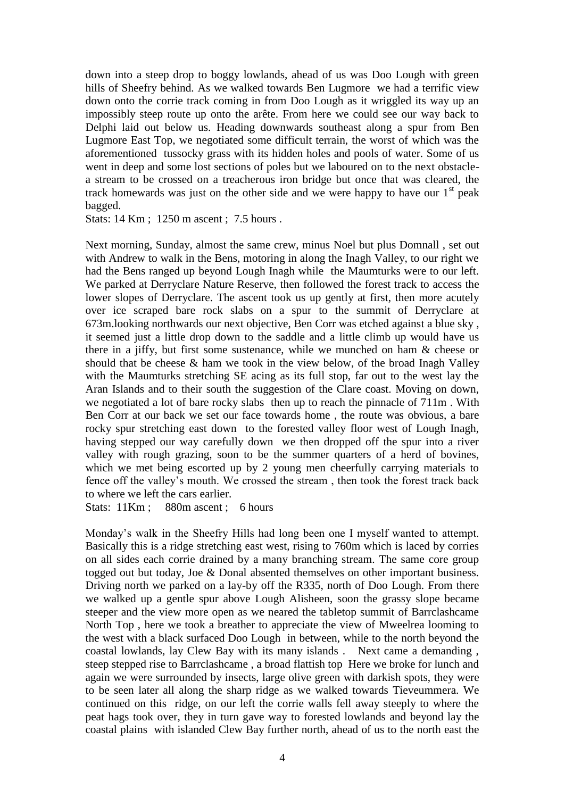down into a steep drop to boggy lowlands, ahead of us was Doo Lough with green hills of Sheefry behind. As we walked towards Ben Lugmore we had a terrific view down onto the corrie track coming in from Doo Lough as it wriggled its way up an impossibly steep route up onto the arête. From here we could see our way back to Delphi laid out below us. Heading downwards southeast along a spur from Ben Lugmore East Top, we negotiated some difficult terrain, the worst of which was the aforementioned tussocky grass with its hidden holes and pools of water. Some of us went in deep and some lost sections of poles but we laboured on to the next obstaclea stream to be crossed on a treacherous iron bridge but once that was cleared, the track homewards was just on the other side and we were happy to have our  $1<sup>st</sup>$  peak bagged.

Stats: 14 Km ; 1250 m ascent ; 7.5 hours .

Next morning, Sunday, almost the same crew, minus Noel but plus Domnall , set out with Andrew to walk in the Bens, motoring in along the Inagh Valley, to our right we had the Bens ranged up beyond Lough Inagh while the Maumturks were to our left. We parked at Derryclare Nature Reserve, then followed the forest track to access the lower slopes of Derryclare. The ascent took us up gently at first, then more acutely over ice scraped bare rock slabs on a spur to the summit of Derryclare at 673m.looking northwards our next objective, Ben Corr was etched against a blue sky , it seemed just a little drop down to the saddle and a little climb up would have us there in a jiffy, but first some sustenance, while we munched on ham & cheese or should that be cheese & ham we took in the view below, of the broad Inagh Valley with the Maumturks stretching SE acing as its full stop, far out to the west lay the Aran Islands and to their south the suggestion of the Clare coast. Moving on down, we negotiated a lot of bare rocky slabs then up to reach the pinnacle of 711m . With Ben Corr at our back we set our face towards home , the route was obvious, a bare rocky spur stretching east down to the forested valley floor west of Lough Inagh, having stepped our way carefully down we then dropped off the spur into a river valley with rough grazing, soon to be the summer quarters of a herd of bovines, which we met being escorted up by 2 young men cheerfully carrying materials to fence off the valley's mouth. We crossed the stream , then took the forest track back to where we left the cars earlier.

Stats: 11Km ; 880m ascent ; 6 hours

Monday's walk in the Sheefry Hills had long been one I myself wanted to attempt. Basically this is a ridge stretching east west, rising to 760m which is laced by corries on all sides each corrie drained by a many branching stream. The same core group togged out but today, Joe & Donal absented themselves on other important business. Driving north we parked on a lay-by off the R335, north of Doo Lough. From there we walked up a gentle spur above Lough Alisheen, soon the grassy slope became steeper and the view more open as we neared the tabletop summit of Barrclashcame North Top , here we took a breather to appreciate the view of Mweelrea looming to the west with a black surfaced Doo Lough in between, while to the north beyond the coastal lowlands, lay Clew Bay with its many islands . Next came a demanding , steep stepped rise to Barrclashcame , a broad flattish top Here we broke for lunch and again we were surrounded by insects, large olive green with darkish spots, they were to be seen later all along the sharp ridge as we walked towards Tieveummera. We continued on this ridge, on our left the corrie walls fell away steeply to where the peat hags took over, they in turn gave way to forested lowlands and beyond lay the coastal plains with islanded Clew Bay further north, ahead of us to the north east the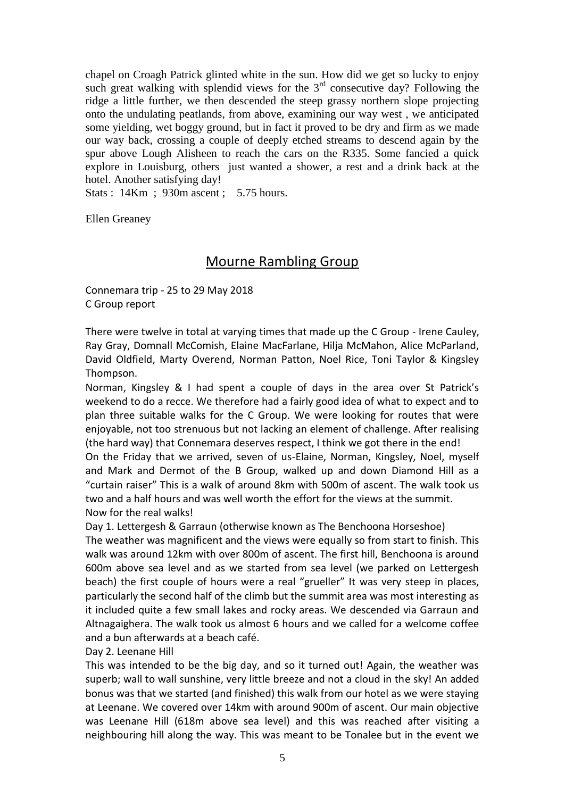chapel on Croagh Patrick glinted white in the sun. How did we get so lucky to enjoy such great walking with splendid views for the  $3<sup>rd</sup>$  consecutive day? Following the ridge a little further, we then descended the steep grassy northern slope projecting onto the undulating peatlands, from above, examining our way west , we anticipated some yielding, wet boggy ground, but in fact it proved to be dry and firm as we made our way back, crossing a couple of deeply etched streams to descend again by the spur above Lough Alisheen to reach the cars on the R335. Some fancied a quick explore in Louisburg, others just wanted a shower, a rest and a drink back at the hotel. Another satisfying day!

Stats : 14Km ; 930m ascent ; 5.75 hours.

Ellen Greaney

#### Mourne Rambling Group

Connemara trip - 25 to 29 May 2018 C Group report

There were twelve in total at varying times that made up the C Group - Irene Cauley, Ray Gray, Domnall McComish, Elaine MacFarlane, Hilja McMahon, Alice McParland, David Oldfield, Marty Overend, Norman Patton, Noel Rice, Toni Taylor & Kingsley Thompson.

Norman, Kingsley & I had spent a couple of days in the area over St Patrick's weekend to do a recce. We therefore had a fairly good idea of what to expect and to plan three suitable walks for the C Group. We were looking for routes that were enjoyable, not too strenuous but not lacking an element of challenge. After realising (the hard way) that Connemara deserves respect, I think we got there in the end! On the Friday that we arrived, seven of us-Elaine, Norman, Kingsley, Noel, myself and Mark and Dermot of the B Group, walked up and down Diamond Hill as a "curtain raiser" This is a walk of around 8km with 500m of ascent. The walk took us two and a half hours and was well worth the effort for the views at the summit. Now for the real walks!

Day 1. Lettergesh & Garraun (otherwise known as The Benchoona Horseshoe)

The weather was magnificent and the views were equally so from start to finish. This walk was around 12km with over 800m of ascent. The first hill, Benchoona is around 600m above sea level and as we started from sea level (we parked on Lettergesh beach) the first couple of hours were a real "grueller" It was very steep in places, particularly the second half of the climb but the summit area was most interesting as it included quite a few small lakes and rocky areas. We descended via Garraun and Altnagaighera. The walk took us almost 6 hours and we called for a welcome coffee and a bun afterwards at a beach café.

#### Day 2. Leenane Hill

This was intended to be the big day, and so it turned out! Again, the weather was superb; wall to wall sunshine, very little breeze and not a cloud in the sky! An added bonus was that we started (and finished) this walk from our hotel as we were staying at Leenane. We covered over 14km with around 900m of ascent. Our main objective was Leenane Hill (618m above sea level) and this was reached after visiting a neighbouring hill along the way. This was meant to be Tonalee but in the event we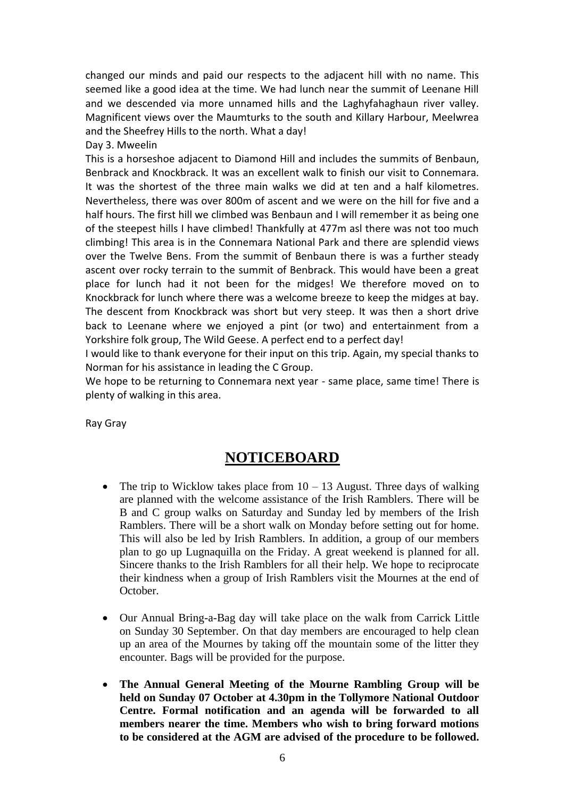changed our minds and paid our respects to the adjacent hill with no name. This seemed like a good idea at the time. We had lunch near the summit of Leenane Hill and we descended via more unnamed hills and the Laghyfahaghaun river valley. Magnificent views over the Maumturks to the south and Killary Harbour, Meelwrea and the Sheefrey Hills to the north. What a day!

#### Day 3. Mweelin

This is a horseshoe adjacent to Diamond Hill and includes the summits of Benbaun, Benbrack and Knockbrack. It was an excellent walk to finish our visit to Connemara. It was the shortest of the three main walks we did at ten and a half kilometres. Nevertheless, there was over 800m of ascent and we were on the hill for five and a half hours. The first hill we climbed was Benbaun and I will remember it as being one of the steepest hills I have climbed! Thankfully at 477m asl there was not too much climbing! This area is in the Connemara National Park and there are splendid views over the Twelve Bens. From the summit of Benbaun there is was a further steady ascent over rocky terrain to the summit of Benbrack. This would have been a great place for lunch had it not been for the midges! We therefore moved on to Knockbrack for lunch where there was a welcome breeze to keep the midges at bay. The descent from Knockbrack was short but very steep. It was then a short drive back to Leenane where we enjoyed a pint (or two) and entertainment from a Yorkshire folk group, The Wild Geese. A perfect end to a perfect day!

I would like to thank everyone for their input on this trip. Again, my special thanks to Norman for his assistance in leading the C Group.

We hope to be returning to Connemara next year - same place, same time! There is plenty of walking in this area.

Ray Gray

# **NOTICEBOARD**

- The trip to Wicklow takes place from  $10 13$  August. Three days of walking are planned with the welcome assistance of the Irish Ramblers. There will be B and C group walks on Saturday and Sunday led by members of the Irish Ramblers. There will be a short walk on Monday before setting out for home. This will also be led by Irish Ramblers. In addition, a group of our members plan to go up Lugnaquilla on the Friday. A great weekend is planned for all. Sincere thanks to the Irish Ramblers for all their help. We hope to reciprocate their kindness when a group of Irish Ramblers visit the Mournes at the end of October.
- Our Annual Bring-a-Bag day will take place on the walk from Carrick Little on Sunday 30 September. On that day members are encouraged to help clean up an area of the Mournes by taking off the mountain some of the litter they encounter. Bags will be provided for the purpose.
- **The Annual General Meeting of the Mourne Rambling Group will be held on Sunday 07 October at 4.30pm in the Tollymore National Outdoor Centre. Formal notification and an agenda will be forwarded to all members nearer the time. Members who wish to bring forward motions to be considered at the AGM are advised of the procedure to be followed.**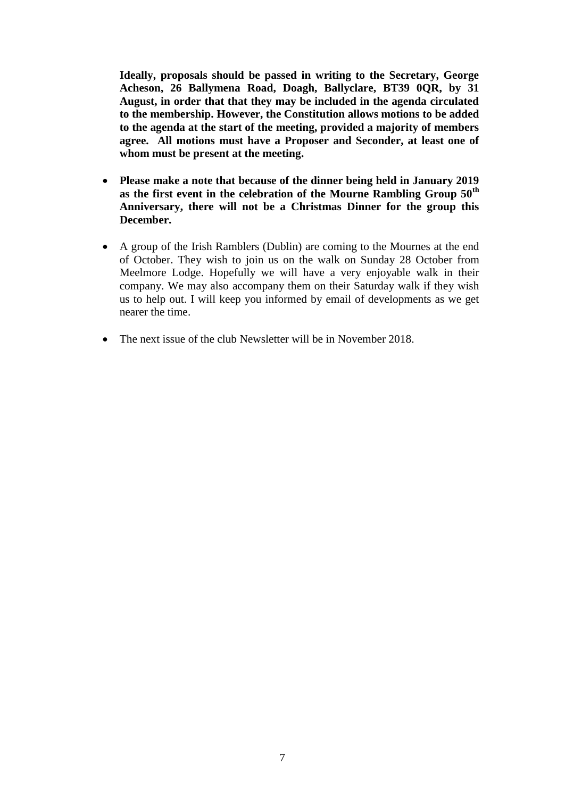**Ideally, proposals should be passed in writing to the Secretary, George Acheson, 26 Ballymena Road, Doagh, Ballyclare, BT39 0QR, by 31 August, in order that that they may be included in the agenda circulated to the membership. However, the Constitution allows motions to be added to the agenda at the start of the meeting, provided a majority of members agree. All motions must have a Proposer and Seconder, at least one of whom must be present at the meeting.**

- **Please make a note that because of the dinner being held in January 2019 as the first event in the celebration of the Mourne Rambling Group 50th Anniversary, there will not be a Christmas Dinner for the group this December.**
- A group of the Irish Ramblers (Dublin) are coming to the Mournes at the end of October. They wish to join us on the walk on Sunday 28 October from Meelmore Lodge. Hopefully we will have a very enjoyable walk in their company. We may also accompany them on their Saturday walk if they wish us to help out. I will keep you informed by email of developments as we get nearer the time.
- The next issue of the club Newsletter will be in November 2018.